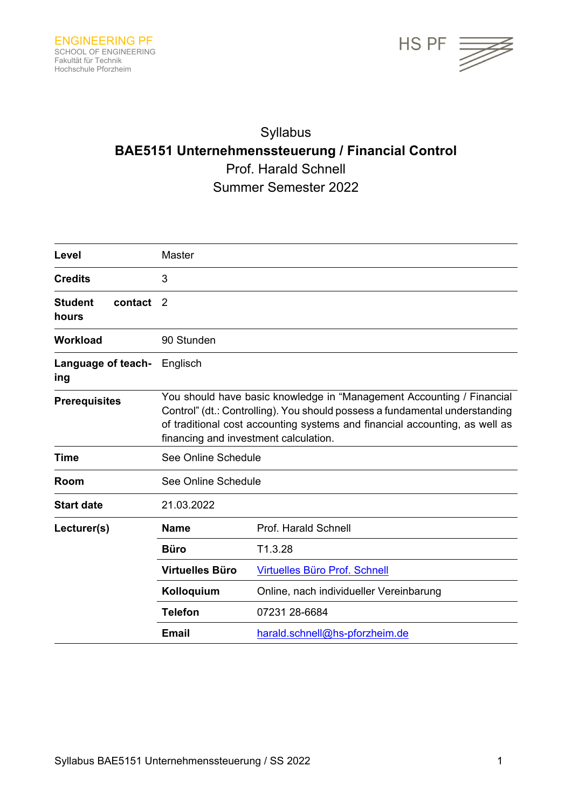

# Syllabus **BAE5151 Unternehmenssteuerung / Financial Control**  Prof. Harald Schnell Summer Semester 2022

| Level                              | Master                                                                                                                                                                                                                                                                       |                                         |
|------------------------------------|------------------------------------------------------------------------------------------------------------------------------------------------------------------------------------------------------------------------------------------------------------------------------|-----------------------------------------|
| <b>Credits</b>                     | 3                                                                                                                                                                                                                                                                            |                                         |
| <b>Student</b><br>contact<br>hours | $\mathcal{P}$                                                                                                                                                                                                                                                                |                                         |
| <b>Workload</b>                    | 90 Stunden                                                                                                                                                                                                                                                                   |                                         |
| Language of teach-<br>ing          | Englisch                                                                                                                                                                                                                                                                     |                                         |
| <b>Prerequisites</b>               | You should have basic knowledge in "Management Accounting / Financial<br>Control" (dt.: Controlling). You should possess a fundamental understanding<br>of traditional cost accounting systems and financial accounting, as well as<br>financing and investment calculation. |                                         |
| Time                               | See Online Schedule                                                                                                                                                                                                                                                          |                                         |
| Room                               | See Online Schedule                                                                                                                                                                                                                                                          |                                         |
| <b>Start date</b>                  | 21.03.2022                                                                                                                                                                                                                                                                   |                                         |
| Lecturer(s)                        | <b>Name</b>                                                                                                                                                                                                                                                                  | Prof. Harald Schnell                    |
|                                    | <b>Büro</b>                                                                                                                                                                                                                                                                  | T1.3.28                                 |
|                                    | <b>Virtuelles Büro</b>                                                                                                                                                                                                                                                       | <b>Virtuelles Büro Prof. Schnell</b>    |
|                                    | Kolloquium                                                                                                                                                                                                                                                                   | Online, nach individueller Vereinbarung |
|                                    | <b>Telefon</b>                                                                                                                                                                                                                                                               | 07231 28-6684                           |
|                                    | <b>Email</b>                                                                                                                                                                                                                                                                 | harald.schnell@hs-pforzheim.de          |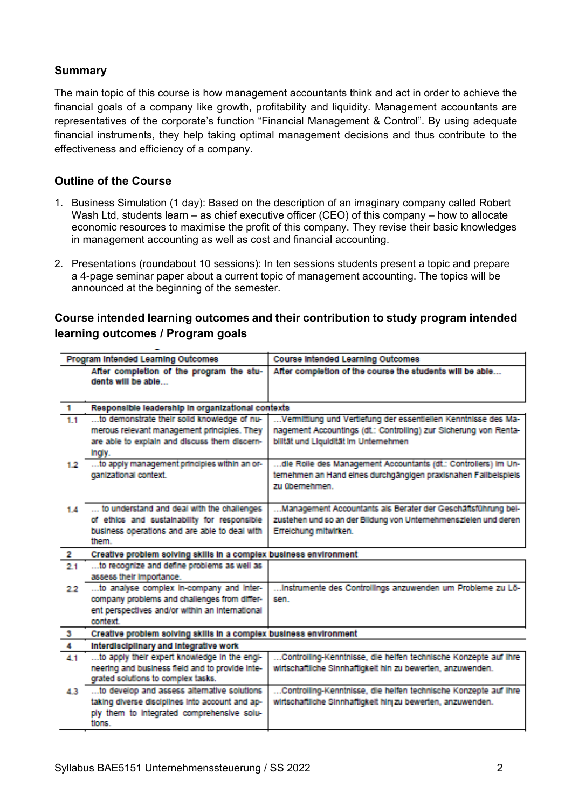## **Summary**

The main topic of this course is how management accountants think and act in order to achieve the financial goals of a company like growth, profitability and liquidity. Management accountants are representatives of the corporate's function "Financial Management & Control". By using adequate financial instruments, they help taking optimal management decisions and thus contribute to the effectiveness and efficiency of a company.

### **Outline of the Course**

- 1. Business Simulation (1 day): Based on the description of an imaginary company called Robert Wash Ltd, students learn – as chief executive officer (CEO) of this company – how to allocate economic resources to maximise the profit of this company. They revise their basic knowledges in management accounting as well as cost and financial accounting.
- 2. Presentations (roundabout 10 sessions): In ten sessions students present a topic and prepare a 4-page seminar paper about a current topic of management accounting. The topics will be announced at the beginning of the semester.

## **Course intended learning outcomes and their contribution to study program intended learning outcomes / Program goals**

| Program Intended Learning Outcomes |                                                                                                                                                         | <b>Course Intended Learning Outcomes</b>                                                                                                                                    |  |  |
|------------------------------------|---------------------------------------------------------------------------------------------------------------------------------------------------------|-----------------------------------------------------------------------------------------------------------------------------------------------------------------------------|--|--|
|                                    | After completion of the program the stu-<br>dents will be able                                                                                          | After completion of the course the students will be able                                                                                                                    |  |  |
| Н.                                 | Responsible leadership in organizational contexts                                                                                                       |                                                                                                                                                                             |  |  |
| 1.1                                | to demonstrate their solid knowledge of nu-<br>merous relevant management principles. They<br>are able to explain and discuss them discern-<br>Ingly.   | Vermittlung und Vertlefung der essentlellen Kenntnisse des Ma-<br>nagement Accountings (dt.: Controlling) zur Sicherung von Renta-<br>bilität und Liquidität im Unternehmen |  |  |
| 12                                 | to apply management principles within an or-<br>ganizational context.                                                                                   | dle Rolle des Management Accountants (dt.: Controllers) im Un-<br>temehmen an Hand eines durchgängigen praxisnahen Fallbeispiels<br>zu übernehmen                           |  |  |
| 1.4                                | to understand and deal with the challenges<br>of ethics and sustainability for responsible<br>business operations and are able to deal with<br>them     | Management Accountants als Berater der Geschäftsführung bel-<br>zustehen und so an der Bildung von Unternehmenszielen und deren<br>Erreichung mitwirken.                    |  |  |
| 2                                  | Creative problem solving skills in a complex business environment                                                                                       |                                                                                                                                                                             |  |  |
| 21                                 | to recognize and define problems as well as<br>assess their importance.                                                                                 |                                                                                                                                                                             |  |  |
| 99                                 | to analyse complex in-company and inter-<br>company problems and challenges from differ-<br>ent perspectives and/or within an international<br>context  | Instrumente des Controllings anzuwenden um Probleme zu Lö-<br>smn                                                                                                           |  |  |
| -31                                | Creative problem solving skills in a complex business environment                                                                                       |                                                                                                                                                                             |  |  |
| A.                                 | Interdisciplinary and Integrative work                                                                                                                  |                                                                                                                                                                             |  |  |
| 41                                 | to apply their expert knowledge in the engi-<br>neering and business field and to provide inte-<br>grated solutions to complex tasks.                   | Controlling-Kenntnisse, die heifen technische Konzepte auf ihre<br>wirtschaftliche Sinnhaftlokeit hin zu bewerten, anzuwenden,                                              |  |  |
| A.31                               | to develop and assess alternative solutions<br>taking diverse disciplines into account and ap-<br>ply them to integrated comprehensive solu-<br>flores. | Controlling-Kenntnisse, die heiten technische Konzepte auf ihre<br>wirtschaftliche Sinnhaftigkeit hinj zu bewerten, anzuwenden.                                             |  |  |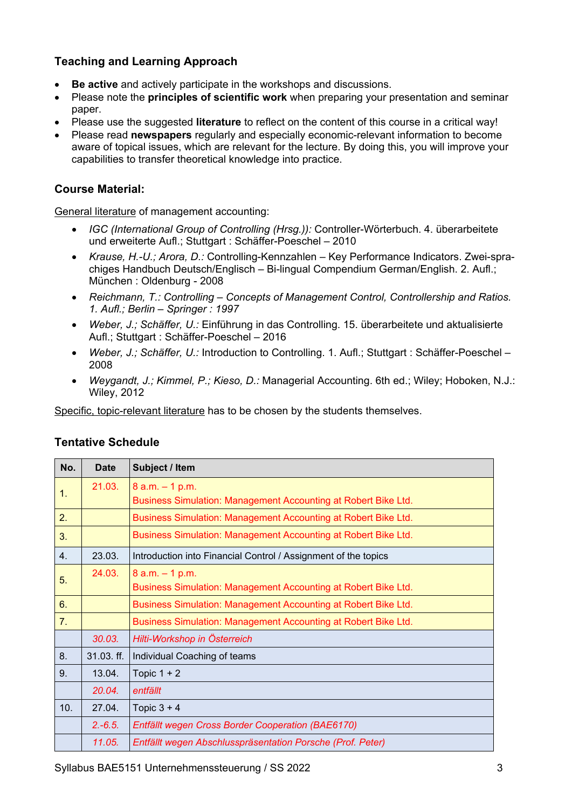# **Teaching and Learning Approach**

- **Be active** and actively participate in the workshops and discussions.
- Please note the **principles of scientific work** when preparing your presentation and seminar paper.
- Please use the suggested **literature** to reflect on the content of this course in a critical way!
- Please read **newspapers** regularly and especially economic-relevant information to become aware of topical issues, which are relevant for the lecture. By doing this, you will improve your capabilities to transfer theoretical knowledge into practice.

### **Course Material:**

General literature of management accounting:

- *IGC (International Group of Controlling (Hrsg.)):* Controller-Wörterbuch. 4. überarbeitete und erweiterte Aufl.; Stuttgart : Schäffer-Poeschel – 2010
- *Krause, H.-U.; Arora, D.:* Controlling-Kennzahlen Key Performance Indicators. Zwei-sprachiges Handbuch Deutsch/Englisch – Bi-lingual Compendium German/English. 2. Aufl.; München : Oldenburg - 2008
- *Reichmann, T.: Controlling Concepts of Management Control, Controllership and Ratios. 1. Aufl.; Berlin – Springer : 1997*
- *Weber, J.; Schäffer, U.:* Einführung in das Controlling. 15. überarbeitete und aktualisierte Aufl.; Stuttgart : Schäffer-Poeschel – 2016
- *Weber, J.; Schäffer, U.:* Introduction to Controlling. 1. Aufl.; Stuttgart : Schäffer-Poeschel 2008
- *Weygandt, J.; Kimmel, P.; Kieso, D.:* Managerial Accounting. 6th ed.; Wiley; Hoboken, N.J.: Wiley, 2012

Specific, topic-relevant literature has to be chosen by the students themselves.

| No. | <b>Date</b> | Subject / Item                                                                       |
|-----|-------------|--------------------------------------------------------------------------------------|
| 1.  | 21.03.      | $8$ a.m. $-1$ p.m.<br>Business Simulation: Management Accounting at Robert Bike Ltd. |
| 2.  |             | Business Simulation: Management Accounting at Robert Bike Ltd.                       |
| 3.  |             | Business Simulation: Management Accounting at Robert Bike Ltd.                       |
| 4.  | 23.03.      | Introduction into Financial Control / Assignment of the topics                       |
| 5.  | 24.03.      | $8$ a.m. $-1$ p.m.<br>Business Simulation: Management Accounting at Robert Bike Ltd. |
| 6.  |             | Business Simulation: Management Accounting at Robert Bike Ltd.                       |
| 7.  |             | Business Simulation: Management Accounting at Robert Bike Ltd.                       |
|     | 30.03.      | Hilti-Workshop in Österreich                                                         |
| 8.  | 31.03. ff.  | Individual Coaching of teams                                                         |
| 9.  | 13.04.      | Topic $1 + 2$                                                                        |
|     | 20.04.      | entfällt                                                                             |
| 10. | 27.04.      | Topic $3 + 4$                                                                        |
|     | $2.-6.5.$   | Entfällt wegen Cross Border Cooperation (BAE6170)                                    |
|     | 11.05.      | Entfällt wegen Abschlusspräsentation Porsche (Prof. Peter)                           |

## **Tentative Schedule**